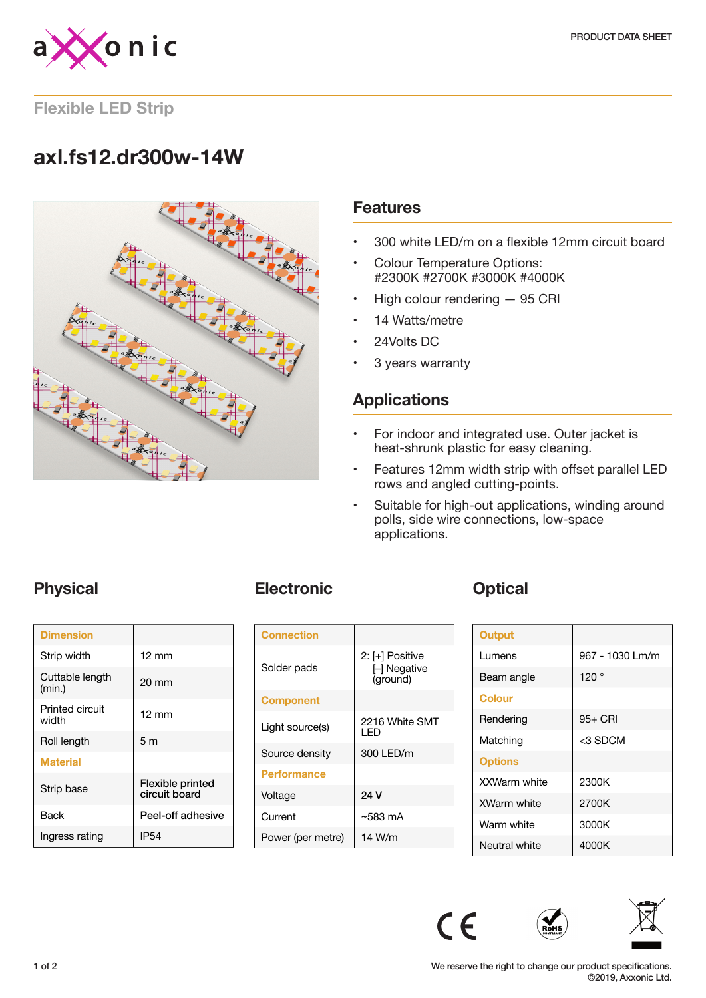

**Flexible LED Strip**

# **axl.fs12.dr300w-14W**



### **Features**

- 300 white LED/m on a flexible 12mm circuit board
- Colour Temperature Options: #2300K #2700K #3000K #4000K
- High colour rendering 95 CRI
- 14 Watts/metre
- 24Volts DC
- 3 years warranty

# **Applications**

- For indoor and integrated use. Outer jacket is heat-shrunk plastic for easy cleaning.
- Features 12mm width strip with offset parallel LED rows and angled cutting-points.
- Suitable for high-out applications, winding around polls, side wire connections, low-space applications.

| <b>Dimension</b>          |                                   |
|---------------------------|-----------------------------------|
| Strip width               | $12 \text{ mm}$                   |
| Cuttable length<br>(min.) | $20 \text{ mm}$                   |
| Printed circuit<br>width  | $12 \text{ mm}$                   |
| Roll length               | 5 <sub>m</sub>                    |
| <b>Material</b>           |                                   |
| Strip base                | Flexible printed<br>circuit board |
| Back                      | Peel-off adhesive                 |
| Ingress rating            | <b>IP54</b>                       |

# **Physical <b>Electronic Change Physical**

| <b>Connection</b>  |                                           |
|--------------------|-------------------------------------------|
| Solder pads        | 2: [+] Positive<br>- Negative<br>(ground) |
| <b>Component</b>   |                                           |
| Light source(s)    | 2216 White SMT<br>I FD                    |
| Source density     | 300 LED/m                                 |
| <b>Performance</b> |                                           |
| Voltage            | 24 V                                      |
| Current            | ~583 mA                                   |
| Power (per metre)  | 14 W/m                                    |

| <b>Output</b>  |                 |
|----------------|-----------------|
| Lumens         | 967 - 1030 Lm/m |
| Beam angle     | 120°            |
| <b>Colour</b>  |                 |
| Rendering      | 95+ CRI         |
| Matching       | <3 SDCM         |
| <b>Options</b> |                 |
| XXWarm white   | 2300K           |
| XWarm white    | 2700K           |
| Warm white     | 3000K           |
| Neutral white  | 4000K           |



 $C \in$